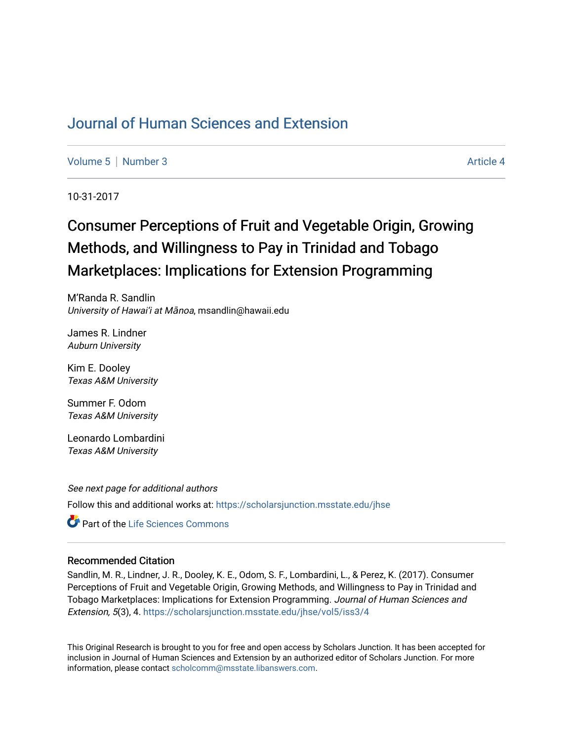## [Journal of Human Sciences and Extension](https://scholarsjunction.msstate.edu/jhse)

[Volume 5](https://scholarsjunction.msstate.edu/jhse/vol5) [Number 3](https://scholarsjunction.msstate.edu/jhse/vol5/iss3) Article 4

10-31-2017

# Consumer Perceptions of Fruit and Vegetable Origin, Growing Methods, and Willingness to Pay in Trinidad and Tobago Marketplaces: Implications for Extension Programming

M'Randa R. Sandlin University of Hawai'i at Mānoa, msandlin@hawaii.edu

James R. Lindner Auburn University

Kim E. Dooley Texas A&M University

Summer F. Odom Texas A&M University

Leonardo Lombardini Texas A&M University

See next page for additional authors Follow this and additional works at: [https://scholarsjunction.msstate.edu/jhse](https://scholarsjunction.msstate.edu/jhse?utm_source=scholarsjunction.msstate.edu%2Fjhse%2Fvol5%2Fiss3%2F4&utm_medium=PDF&utm_campaign=PDFCoverPages)

**C** Part of the Life Sciences Commons

#### Recommended Citation

Sandlin, M. R., Lindner, J. R., Dooley, K. E., Odom, S. F., Lombardini, L., & Perez, K. (2017). Consumer Perceptions of Fruit and Vegetable Origin, Growing Methods, and Willingness to Pay in Trinidad and Tobago Marketplaces: Implications for Extension Programming. Journal of Human Sciences and Extension, 5(3), 4. [https://scholarsjunction.msstate.edu/jhse/vol5/iss3/4](https://scholarsjunction.msstate.edu/jhse/vol5/iss3/4?utm_source=scholarsjunction.msstate.edu%2Fjhse%2Fvol5%2Fiss3%2F4&utm_medium=PDF&utm_campaign=PDFCoverPages) 

This Original Research is brought to you for free and open access by Scholars Junction. It has been accepted for inclusion in Journal of Human Sciences and Extension by an authorized editor of Scholars Junction. For more information, please contact [scholcomm@msstate.libanswers.com](mailto:scholcomm@msstate.libanswers.com).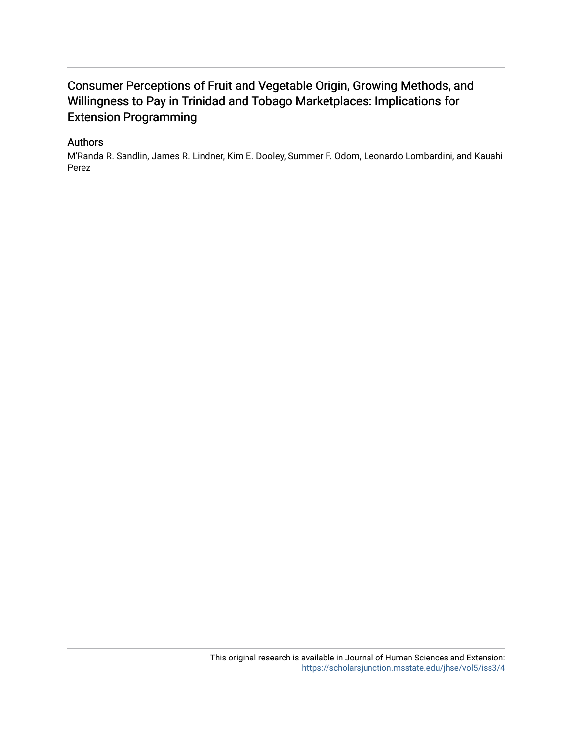### Consumer Perceptions of Fruit and Vegetable Origin, Growing Methods, and Willingness to Pay in Trinidad and Tobago Marketplaces: Implications for Extension Programming

#### Authors

M'Randa R. Sandlin, James R. Lindner, Kim E. Dooley, Summer F. Odom, Leonardo Lombardini, and Kauahi Perez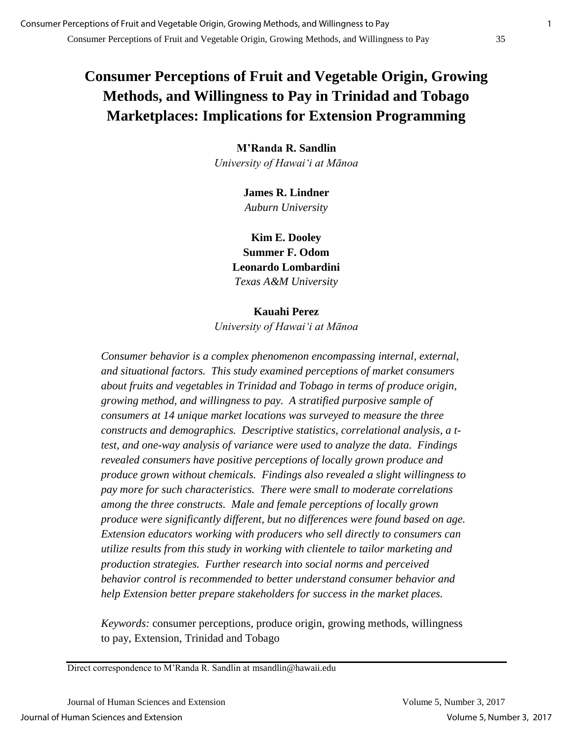## **Consumer Perceptions of Fruit and Vegetable Origin, Growing Methods, and Willingness to Pay in Trinidad and Tobago Marketplaces: Implications for Extension Programming**

**M'Randa R. Sandlin** *University of Hawai'i at Mānoa*

> **James R. Lindner** *Auburn University*

**Kim E. Dooley Summer F. Odom Leonardo Lombardini** *Texas A&M University*

#### **Kauahi Perez**

*University of Hawai'i at Mānoa*

*Consumer behavior is a complex phenomenon encompassing internal, external, and situational factors. This study examined perceptions of market consumers about fruits and vegetables in Trinidad and Tobago in terms of produce origin, growing method, and willingness to pay. A stratified purposive sample of consumers at 14 unique market locations was surveyed to measure the three constructs and demographics. Descriptive statistics, correlational analysis, a ttest, and one-way analysis of variance were used to analyze the data. Findings revealed consumers have positive perceptions of locally grown produce and produce grown without chemicals. Findings also revealed a slight willingness to pay more for such characteristics. There were small to moderate correlations among the three constructs. Male and female perceptions of locally grown produce were significantly different, but no differences were found based on age. Extension educators working with producers who sell directly to consumers can utilize results from this study in working with clientele to tailor marketing and production strategies. Further research into social norms and perceived behavior control is recommended to better understand consumer behavior and help Extension better prepare stakeholders for success in the market places.*

*Keywords:* consumer perceptions, produce origin, growing methods, willingness to pay, Extension, Trinidad and Tobago

Direct correspondence to M'Randa R. Sandlin at msandlin@hawaii.edu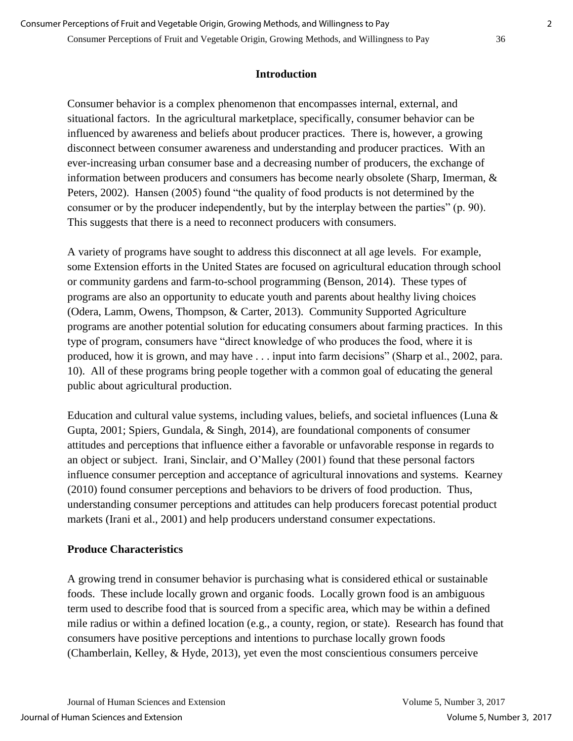#### **Introduction**

Consumer behavior is a complex phenomenon that encompasses internal, external, and situational factors. In the agricultural marketplace, specifically, consumer behavior can be influenced by awareness and beliefs about producer practices. There is, however, a growing disconnect between consumer awareness and understanding and producer practices. With an ever-increasing urban consumer base and a decreasing number of producers, the exchange of information between producers and consumers has become nearly obsolete (Sharp, Imerman, & Peters, 2002). Hansen (2005) found "the quality of food products is not determined by the consumer or by the producer independently, but by the interplay between the parties" (p. 90). This suggests that there is a need to reconnect producers with consumers.

A variety of programs have sought to address this disconnect at all age levels. For example, some Extension efforts in the United States are focused on agricultural education through school or community gardens and farm-to-school programming (Benson, 2014). These types of programs are also an opportunity to educate youth and parents about healthy living choices (Odera, Lamm, Owens, Thompson, & Carter, 2013). Community Supported Agriculture programs are another potential solution for educating consumers about farming practices. In this type of program, consumers have "direct knowledge of who produces the food, where it is produced, how it is grown, and may have . . . input into farm decisions" (Sharp et al., 2002, para. 10). All of these programs bring people together with a common goal of educating the general public about agricultural production.

Education and cultural value systems, including values, beliefs, and societal influences (Luna & Gupta, 2001; Spiers, Gundala, & Singh, 2014), are foundational components of consumer attitudes and perceptions that influence either a favorable or unfavorable response in regards to an object or subject. Irani, Sinclair, and O'Malley (2001) found that these personal factors influence consumer perception and acceptance of agricultural innovations and systems. Kearney (2010) found consumer perceptions and behaviors to be drivers of food production. Thus, understanding consumer perceptions and attitudes can help producers forecast potential product markets (Irani et al., 2001) and help producers understand consumer expectations.

#### **Produce Characteristics**

A growing trend in consumer behavior is purchasing what is considered ethical or sustainable foods. These include locally grown and organic foods. Locally grown food is an ambiguous term used to describe food that is sourced from a specific area, which may be within a defined mile radius or within a defined location (e.g., a county, region, or state). Research has found that consumers have positive perceptions and intentions to purchase locally grown foods (Chamberlain, Kelley, & Hyde, 2013), yet even the most conscientious consumers perceive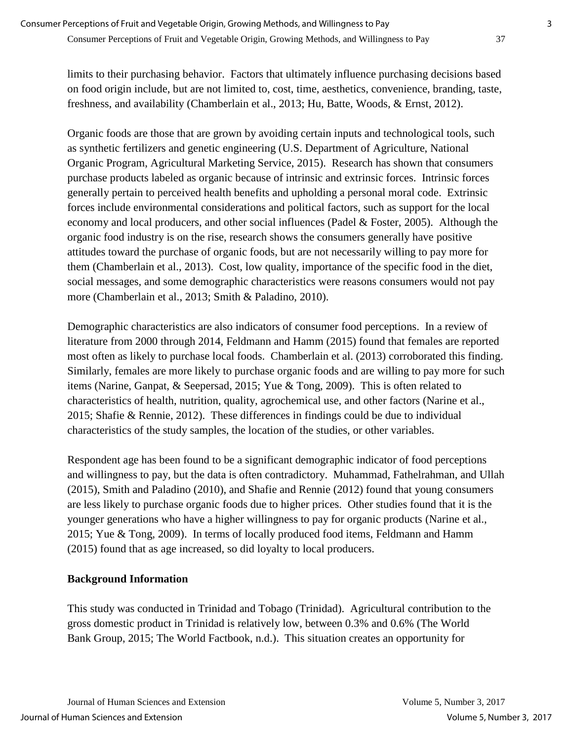limits to their purchasing behavior. Factors that ultimately influence purchasing decisions based on food origin include, but are not limited to, cost, time, aesthetics, convenience, branding, taste, freshness, and availability (Chamberlain et al., 2013; Hu, Batte, Woods, & Ernst, 2012).

Organic foods are those that are grown by avoiding certain inputs and technological tools, such as synthetic fertilizers and genetic engineering (U.S. Department of Agriculture, National Organic Program, Agricultural Marketing Service, 2015). Research has shown that consumers purchase products labeled as organic because of intrinsic and extrinsic forces. Intrinsic forces generally pertain to perceived health benefits and upholding a personal moral code. Extrinsic forces include environmental considerations and political factors, such as support for the local economy and local producers, and other social influences (Padel & Foster, 2005). Although the organic food industry is on the rise, research shows the consumers generally have positive attitudes toward the purchase of organic foods, but are not necessarily willing to pay more for them (Chamberlain et al., 2013). Cost, low quality, importance of the specific food in the diet, social messages, and some demographic characteristics were reasons consumers would not pay more (Chamberlain et al., 2013; Smith & Paladino, 2010).

Demographic characteristics are also indicators of consumer food perceptions. In a review of literature from 2000 through 2014, Feldmann and Hamm (2015) found that females are reported most often as likely to purchase local foods. Chamberlain et al. (2013) corroborated this finding. Similarly, females are more likely to purchase organic foods and are willing to pay more for such items (Narine, Ganpat, & Seepersad, 2015; Yue & Tong, 2009). This is often related to characteristics of health, nutrition, quality, agrochemical use, and other factors (Narine et al., 2015; Shafie & Rennie, 2012). These differences in findings could be due to individual characteristics of the study samples, the location of the studies, or other variables.

Respondent age has been found to be a significant demographic indicator of food perceptions and willingness to pay, but the data is often contradictory. Muhammad, Fathelrahman, and Ullah (2015), Smith and Paladino (2010), and Shafie and Rennie (2012) found that young consumers are less likely to purchase organic foods due to higher prices. Other studies found that it is the younger generations who have a higher willingness to pay for organic products (Narine et al., 2015; Yue & Tong, 2009). In terms of locally produced food items, Feldmann and Hamm (2015) found that as age increased, so did loyalty to local producers.

#### **Background Information**

This study was conducted in Trinidad and Tobago (Trinidad). Agricultural contribution to the gross domestic product in Trinidad is relatively low, between 0.3% and 0.6% (The World Bank Group, 2015; The World Factbook, n.d.). This situation creates an opportunity for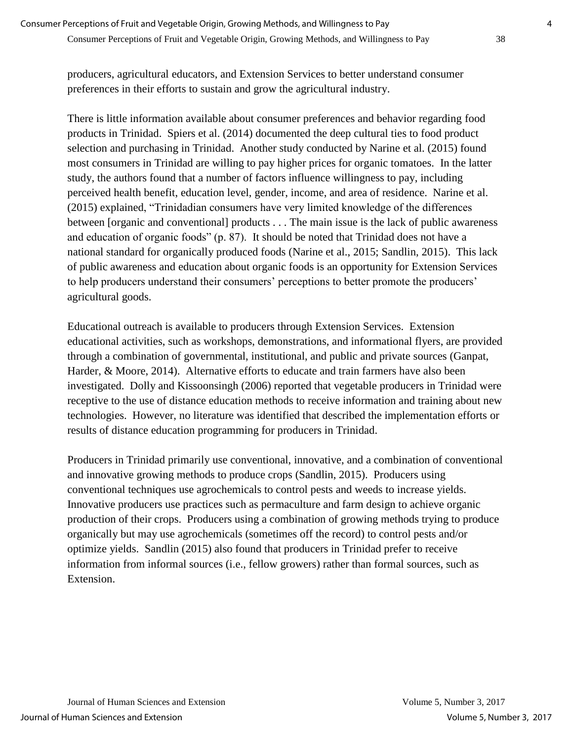producers, agricultural educators, and Extension Services to better understand consumer preferences in their efforts to sustain and grow the agricultural industry.

There is little information available about consumer preferences and behavior regarding food products in Trinidad. Spiers et al. (2014) documented the deep cultural ties to food product selection and purchasing in Trinidad. Another study conducted by Narine et al. (2015) found most consumers in Trinidad are willing to pay higher prices for organic tomatoes. In the latter study, the authors found that a number of factors influence willingness to pay, including perceived health benefit, education level, gender, income, and area of residence. Narine et al. (2015) explained, "Trinidadian consumers have very limited knowledge of the differences between [organic and conventional] products . . . The main issue is the lack of public awareness and education of organic foods" (p. 87). It should be noted that Trinidad does not have a national standard for organically produced foods (Narine et al., 2015; Sandlin, 2015). This lack of public awareness and education about organic foods is an opportunity for Extension Services to help producers understand their consumers' perceptions to better promote the producers' agricultural goods.

Educational outreach is available to producers through Extension Services. Extension educational activities, such as workshops, demonstrations, and informational flyers, are provided through a combination of governmental, institutional, and public and private sources (Ganpat, Harder, & Moore, 2014). Alternative efforts to educate and train farmers have also been investigated. Dolly and Kissoonsingh (2006) reported that vegetable producers in Trinidad were receptive to the use of distance education methods to receive information and training about new technologies. However, no literature was identified that described the implementation efforts or results of distance education programming for producers in Trinidad.

Producers in Trinidad primarily use conventional, innovative, and a combination of conventional and innovative growing methods to produce crops (Sandlin, 2015). Producers using conventional techniques use agrochemicals to control pests and weeds to increase yields. Innovative producers use practices such as permaculture and farm design to achieve organic production of their crops. Producers using a combination of growing methods trying to produce organically but may use agrochemicals (sometimes off the record) to control pests and/or optimize yields. Sandlin (2015) also found that producers in Trinidad prefer to receive information from informal sources (i.e., fellow growers) rather than formal sources, such as Extension.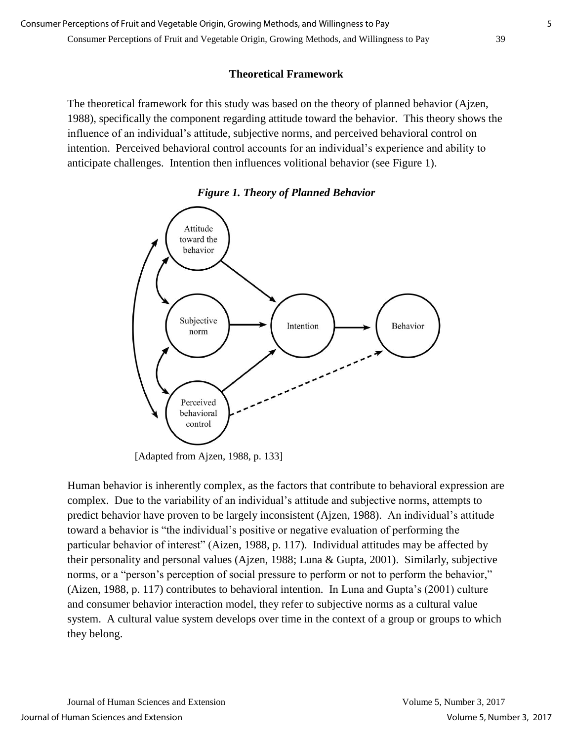#### **Theoretical Framework**

The theoretical framework for this study was based on the theory of planned behavior (Ajzen, 1988), specifically the component regarding attitude toward the behavior. This theory shows the influence of an individual's attitude, subjective norms, and perceived behavioral control on intention. Perceived behavioral control accounts for an individual's experience and ability to anticipate challenges. Intention then influences volitional behavior (see Figure 1).





[Adapted from Ajzen, 1988, p. 133]

Human behavior is inherently complex, as the factors that contribute to behavioral expression are complex. Due to the variability of an individual's attitude and subjective norms, attempts to predict behavior have proven to be largely inconsistent (Ajzen, 1988). An individual's attitude toward a behavior is "the individual's positive or negative evaluation of performing the particular behavior of interest" (Aizen, 1988, p. 117). Individual attitudes may be affected by their personality and personal values (Ajzen, 1988; Luna & Gupta, 2001). Similarly, subjective norms, or a "person's perception of social pressure to perform or not to perform the behavior," (Aizen, 1988, p. 117) contributes to behavioral intention. In Luna and Gupta's (2001) culture and consumer behavior interaction model, they refer to subjective norms as a cultural value system. A cultural value system develops over time in the context of a group or groups to which they belong.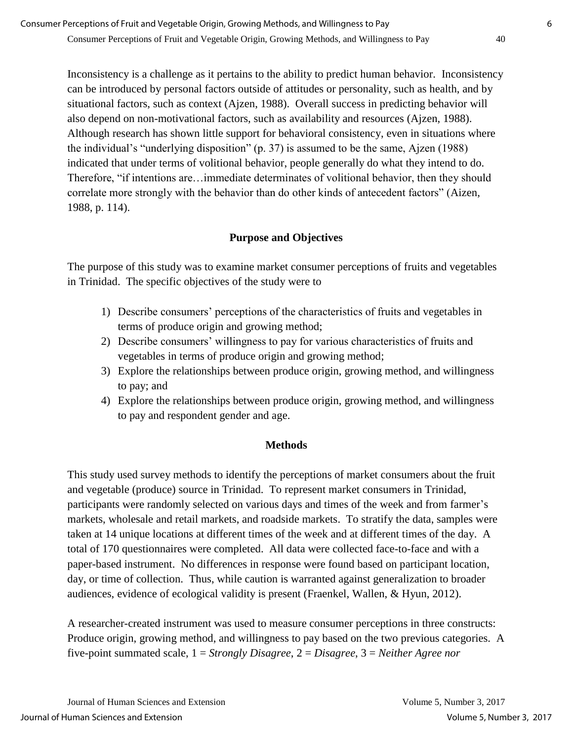Inconsistency is a challenge as it pertains to the ability to predict human behavior. Inconsistency can be introduced by personal factors outside of attitudes or personality, such as health, and by situational factors, such as context (Ajzen, 1988). Overall success in predicting behavior will also depend on non-motivational factors, such as availability and resources (Ajzen, 1988). Although research has shown little support for behavioral consistency, even in situations where the individual's "underlying disposition" (p. 37) is assumed to be the same, Ajzen (1988) indicated that under terms of volitional behavior, people generally do what they intend to do. Therefore, "if intentions are…immediate determinates of volitional behavior, then they should correlate more strongly with the behavior than do other kinds of antecedent factors" (Aizen, 1988, p. 114).

#### **Purpose and Objectives**

The purpose of this study was to examine market consumer perceptions of fruits and vegetables in Trinidad. The specific objectives of the study were to

- 1) Describe consumers' perceptions of the characteristics of fruits and vegetables in terms of produce origin and growing method;
- 2) Describe consumers' willingness to pay for various characteristics of fruits and vegetables in terms of produce origin and growing method;
- 3) Explore the relationships between produce origin, growing method, and willingness to pay; and
- 4) Explore the relationships between produce origin, growing method, and willingness to pay and respondent gender and age.

#### **Methods**

This study used survey methods to identify the perceptions of market consumers about the fruit and vegetable (produce) source in Trinidad. To represent market consumers in Trinidad, participants were randomly selected on various days and times of the week and from farmer's markets, wholesale and retail markets, and roadside markets. To stratify the data, samples were taken at 14 unique locations at different times of the week and at different times of the day. A total of 170 questionnaires were completed. All data were collected face-to-face and with a paper-based instrument. No differences in response were found based on participant location, day, or time of collection. Thus, while caution is warranted against generalization to broader audiences, evidence of ecological validity is present (Fraenkel, Wallen, & Hyun, 2012).

A researcher-created instrument was used to measure consumer perceptions in three constructs: Produce origin, growing method, and willingness to pay based on the two previous categories. A five-point summated scale, 1 = *Strongly Disagree*, 2 = *Disagree*, 3 = *Neither Agree nor*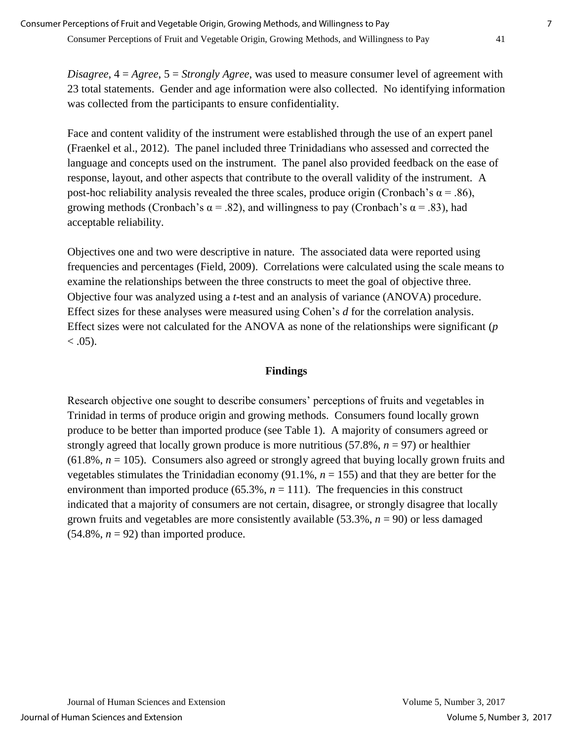*Disagree*, 4 = *Agree*, 5 = *Strongly Agree*, was used to measure consumer level of agreement with 23 total statements. Gender and age information were also collected. No identifying information was collected from the participants to ensure confidentiality.

Face and content validity of the instrument were established through the use of an expert panel (Fraenkel et al., 2012). The panel included three Trinidadians who assessed and corrected the language and concepts used on the instrument. The panel also provided feedback on the ease of response, layout, and other aspects that contribute to the overall validity of the instrument. A post-hoc reliability analysis revealed the three scales, produce origin (Cronbach's  $\alpha$  = .86), growing methods (Cronbach's  $\alpha$  = .82), and willingness to pay (Cronbach's  $\alpha$  = .83), had acceptable reliability.

Objectives one and two were descriptive in nature. The associated data were reported using frequencies and percentages (Field, 2009). Correlations were calculated using the scale means to examine the relationships between the three constructs to meet the goal of objective three. Objective four was analyzed using a *t-*test and an analysis of variance (ANOVA) procedure. Effect sizes for these analyses were measured using Cohen's *d* for the correlation analysis. Effect sizes were not calculated for the ANOVA as none of the relationships were significant (*p*  $< .05$ ).

#### **Findings**

Research objective one sought to describe consumers' perceptions of fruits and vegetables in Trinidad in terms of produce origin and growing methods. Consumers found locally grown produce to be better than imported produce (see Table 1). A majority of consumers agreed or strongly agreed that locally grown produce is more nutritious (57.8%, *n* = 97) or healthier  $(61.8\%, n = 105)$ . Consumers also agreed or strongly agreed that buying locally grown fruits and vegetables stimulates the Trinidadian economy  $(91.1\%, n = 155)$  and that they are better for the environment than imported produce  $(65.3\%, n = 111)$ . The frequencies in this construct indicated that a majority of consumers are not certain, disagree, or strongly disagree that locally grown fruits and vegetables are more consistently available (53.3%, *n* = 90) or less damaged  $(54.8\%, n = 92)$  than imported produce.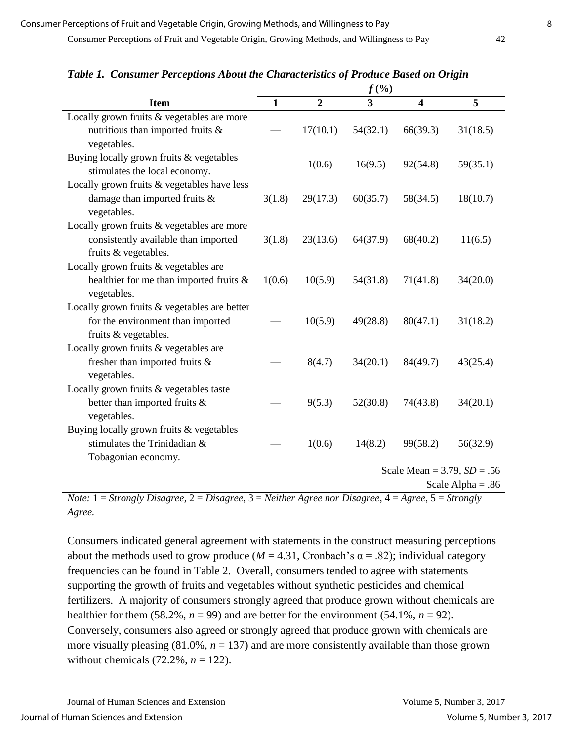|                                              | $f(\%)$             |                |          |          |                                  |  |
|----------------------------------------------|---------------------|----------------|----------|----------|----------------------------------|--|
| <b>Item</b>                                  | $\mathbf{1}$        | $\overline{2}$ | 3        | 4        | 5                                |  |
| Locally grown fruits & vegetables are more   |                     |                |          |          |                                  |  |
| nutritious than imported fruits $\&$         |                     | 17(10.1)       | 54(32.1) | 66(39.3) | 31(18.5)                         |  |
| vegetables.                                  |                     |                |          |          |                                  |  |
| Buying locally grown fruits & vegetables     |                     |                |          |          |                                  |  |
| stimulates the local economy.                |                     | 1(0.6)         | 16(9.5)  | 92(54.8) | 59(35.1)                         |  |
| Locally grown fruits & vegetables have less  |                     |                |          |          |                                  |  |
| damage than imported fruits $\&$             | 3(1.8)              | 29(17.3)       | 60(35.7) | 58(34.5) | 18(10.7)                         |  |
| vegetables.                                  |                     |                |          |          |                                  |  |
| Locally grown fruits & vegetables are more   |                     |                |          |          |                                  |  |
| consistently available than imported         | 3(1.8)              | 23(13.6)       | 64(37.9) | 68(40.2) | 11(6.5)                          |  |
| fruits & vegetables.                         |                     |                |          |          |                                  |  |
| Locally grown fruits & vegetables are        |                     |                |          |          |                                  |  |
| healthier for me than imported fruits $\&$   | 1(0.6)              | 10(5.9)        | 54(31.8) | 71(41.8) | 34(20.0)                         |  |
| vegetables.                                  |                     |                |          |          |                                  |  |
| Locally grown fruits & vegetables are better |                     |                |          |          |                                  |  |
| for the environment than imported            |                     | 10(5.9)        | 49(28.8) | 80(47.1) | 31(18.2)                         |  |
| fruits & vegetables.                         |                     |                |          |          |                                  |  |
| Locally grown fruits & vegetables are        |                     |                |          |          |                                  |  |
| fresher than imported fruits &               |                     | 8(4.7)         | 34(20.1) | 84(49.7) | 43(25.4)                         |  |
| vegetables.                                  |                     |                |          |          |                                  |  |
| Locally grown fruits & vegetables taste      |                     |                |          |          |                                  |  |
| better than imported fruits &                |                     | 9(5.3)         | 52(30.8) | 74(43.8) | 34(20.1)                         |  |
| vegetables.                                  |                     |                |          |          |                                  |  |
| Buying locally grown fruits & vegetables     |                     |                |          |          |                                  |  |
| stimulates the Trinidadian &                 |                     | 1(0.6)         | 14(8.2)  | 99(58.2) | 56(32.9)                         |  |
| Tobagonian economy.                          |                     |                |          |          |                                  |  |
|                                              |                     |                |          |          | Scale Mean = $3.79$ , $SD = .56$ |  |
|                                              | Scale Alpha = $.86$ |                |          |          |                                  |  |

*Table 1.**Consumer Perceptions About the Characteristics of Produce Based on Origin*

*Note:* 1 = *Strongly Disagree*, 2 = *Disagree*, 3 = *Neither Agree nor Disagree*, 4 = *Agree*, 5 = *Strongly Agree.*

Consumers indicated general agreement with statements in the construct measuring perceptions about the methods used to grow produce ( $M = 4.31$ , Cronbach's  $\alpha = .82$ ); individual category frequencies can be found in Table 2. Overall, consumers tended to agree with statements supporting the growth of fruits and vegetables without synthetic pesticides and chemical fertilizers. A majority of consumers strongly agreed that produce grown without chemicals are healthier for them (58.2%,  $n = 99$ ) and are better for the environment (54.1%,  $n = 92$ ). Conversely, consumers also agreed or strongly agreed that produce grown with chemicals are more visually pleasing  $(81.0\%, n = 137)$  and are more consistently available than those grown without chemicals  $(72.2\%, n = 122)$ .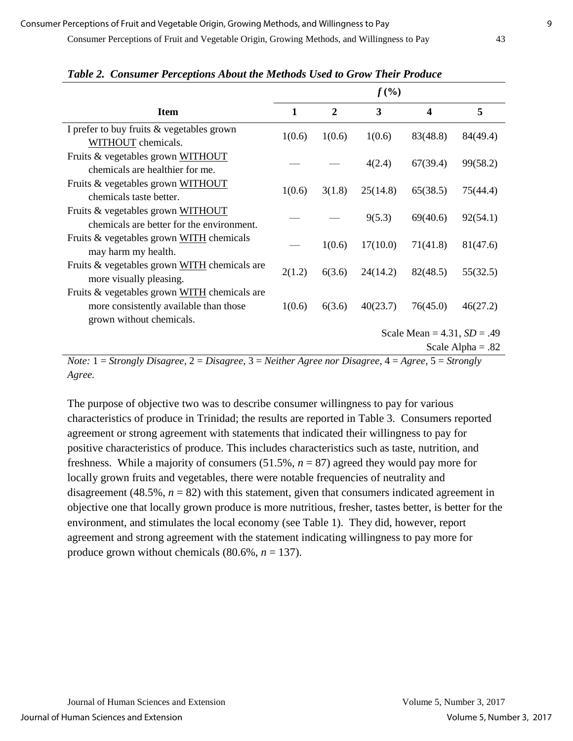Consumer Perceptions of Fruit and Vegetable Origin, Growing Methods, and Willingness to Pay 43

|                                                                                                                    | $f(\%)$                       |                |          |                         |                     |
|--------------------------------------------------------------------------------------------------------------------|-------------------------------|----------------|----------|-------------------------|---------------------|
| <b>Item</b>                                                                                                        | 1                             | $\overline{2}$ | 3        | $\overline{\mathbf{4}}$ | 5                   |
| I prefer to buy fruits & vegetables grown<br>WITHOUT chemicals.                                                    | 1(0.6)                        | 1(0.6)         | 1(0.6)   | 83(48.8)                | 84(49.4)            |
| Fruits & vegetables grown WITHOUT<br>chemicals are healthier for me.                                               |                               |                | 4(2.4)   | 67(39.4)                | 99(58.2)            |
| Fruits & vegetables grown WITHOUT<br>chemicals taste better.                                                       | 1(0.6)                        | 3(1.8)         | 25(14.8) | 65(38.5)                | 75(44.4)            |
| Fruits & vegetables grown WITHOUT<br>chemicals are better for the environment.                                     |                               |                | 9(5.3)   | 69(40.6)                | 92(54.1)            |
| Fruits & vegetables grown WITH chemicals<br>may harm my health.                                                    |                               | 1(0.6)         | 17(10.0) | 71(41.8)                | 81(47.6)            |
| Fruits & vegetables grown WITH chemicals are<br>more visually pleasing.                                            | 2(1.2)                        | 6(3.6)         | 24(14.2) | 82(48.5)                | 55(32.5)            |
| Fruits & vegetables grown WITH chemicals are<br>more consistently available than those<br>grown without chemicals. | 1(0.6)                        | 6(3.6)         | 40(23.7) | 76(45.0)                | 46(27.2)            |
|                                                                                                                    | Scale Mean = $4.31, SD = .49$ |                |          |                         |                     |
|                                                                                                                    |                               |                |          |                         | Scale Alpha = $.82$ |

#### *Table 2. Consumer Perceptions About the Methods Used to Grow Their Produce*

*Note:* 1 = *Strongly Disagree*, 2 = *Disagree*, 3 = *Neither Agree nor Disagree*, 4 = *Agree*, 5 = *Strongly Agree.*

The purpose of objective two was to describe consumer willingness to pay for various characteristics of produce in Trinidad; the results are reported in Table 3. Consumers reported agreement or strong agreement with statements that indicated their willingness to pay for positive characteristics of produce. This includes characteristics such as taste, nutrition, and freshness. While a majority of consumers (51.5%, *n* = 87) agreed they would pay more for locally grown fruits and vegetables, there were notable frequencies of neutrality and disagreement (48.5%,  $n = 82$ ) with this statement, given that consumers indicated agreement in objective one that locally grown produce is more nutritious, fresher, tastes better, is better for the environment, and stimulates the local economy (see Table 1). They did, however, report agreement and strong agreement with the statement indicating willingness to pay more for produce grown without chemicals  $(80.6\%, n = 137)$ .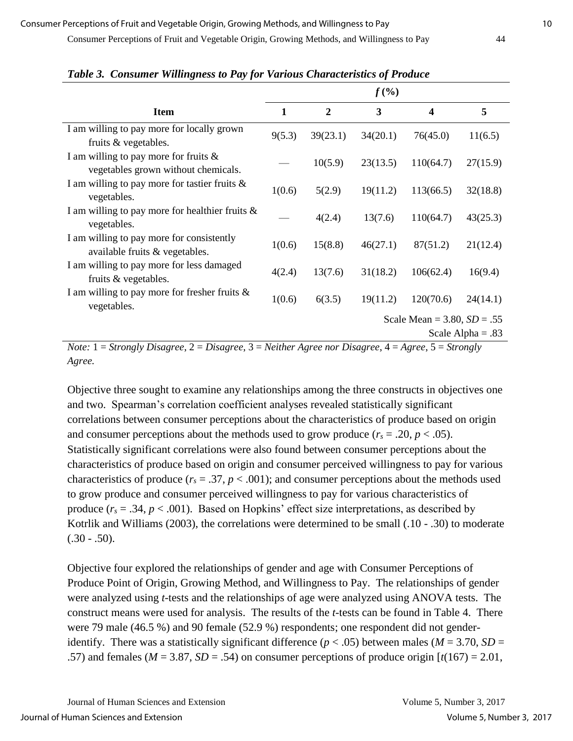Consumer Perceptions of Fruit and Vegetable Origin, Growing Methods, and Willingness to Pay 44

|                                                                                        | $f(\% )$                                                                             |                |          |           |          |  |
|----------------------------------------------------------------------------------------|--------------------------------------------------------------------------------------|----------------|----------|-----------|----------|--|
| <b>Item</b>                                                                            | $\mathbf{1}$                                                                         | $\overline{2}$ | 3        | 4         | 5        |  |
| I am willing to pay more for locally grown<br>fruits & vegetables.                     | 9(5.3)                                                                               | 39(23.1)       | 34(20.1) | 76(45.0)  | 11(6.5)  |  |
| I am willing to pay more for fruits $\&$<br>vegetables grown without chemicals.        |                                                                                      | 10(5.9)        | 23(13.5) | 110(64.7) | 27(15.9) |  |
| I am willing to pay more for tastier fruits $\&$<br>vegetables.                        | 1(0.6)                                                                               | 5(2.9)         | 19(11.2) | 113(66.5) | 32(18.8) |  |
| I am willing to pay more for healthier fruits $\&$<br>vegetables.                      |                                                                                      | 4(2.4)         | 13(7.6)  | 110(64.7) | 43(25.3) |  |
| I am willing to pay more for consistently<br>available fruits & vegetables.            | 1(0.6)                                                                               | 15(8.8)        | 46(27.1) | 87(51.2)  | 21(12.4) |  |
| I am willing to pay more for less damaged<br>fruits & vegetables.                      | 4(2.4)                                                                               | 13(7.6)        | 31(18.2) | 106(62.4) | 16(9.4)  |  |
| I am willing to pay more for fresher fruits $\&$<br>vegetables.                        | 1(0.6)                                                                               | 6(3.5)         | 19(11.2) | 120(70.6) | 24(14.1) |  |
|                                                                                        | Scale Mean = $3.80, SD = .55$                                                        |                |          |           |          |  |
| $\sim$<br>$\mathbf{X}$<br>$-1$<br>$\mathbf{r}$ .<br>$\sim$<br>$\mathbf{r}$ .<br>$\sim$ | Scale Alpha = $.83$<br>$\mathbf{v}$ $\mathbf{v}$<br>$\mathbf{r}$ .<br>$\overline{a}$ |                |          |           |          |  |

*Table 3. Consumer Willingness to Pay for Various Characteristics of Produce*

*Note:* 1 = *Strongly Disagree*, 2 = *Disagree*, 3 = *Neither Agree nor Disagree*, 4 = *Agree*, 5 = *Strongly Agree.*

Objective three sought to examine any relationships among the three constructs in objectives one and two. Spearman's correlation coefficient analyses revealed statistically significant correlations between consumer perceptions about the characteristics of produce based on origin and consumer perceptions about the methods used to grow produce  $(r_s = .20, p < .05)$ . Statistically significant correlations were also found between consumer perceptions about the characteristics of produce based on origin and consumer perceived willingness to pay for various characteristics of produce ( $r_s = .37$ ,  $p < .001$ ); and consumer perceptions about the methods used to grow produce and consumer perceived willingness to pay for various characteristics of produce  $(r_s = .34, p < .001)$ . Based on Hopkins' effect size interpretations, as described by Kotrlik and Williams (2003), the correlations were determined to be small (.10 - .30) to moderate  $(.30-.50).$ 

Objective four explored the relationships of gender and age with Consumer Perceptions of Produce Point of Origin, Growing Method, and Willingness to Pay. The relationships of gender were analyzed using *t-*tests and the relationships of age were analyzed using ANOVA tests. The construct means were used for analysis. The results of the *t-*tests can be found in Table 4. There were 79 male (46.5 %) and 90 female (52.9 %) respondents; one respondent did not genderidentify. There was a statistically significant difference ( $p < .05$ ) between males ( $M = 3.70$ ,  $SD =$ .57) and females ( $M = 3.87$ ,  $SD = .54$ ) on consumer perceptions of produce origin  $[t(167) = 2.01]$ ,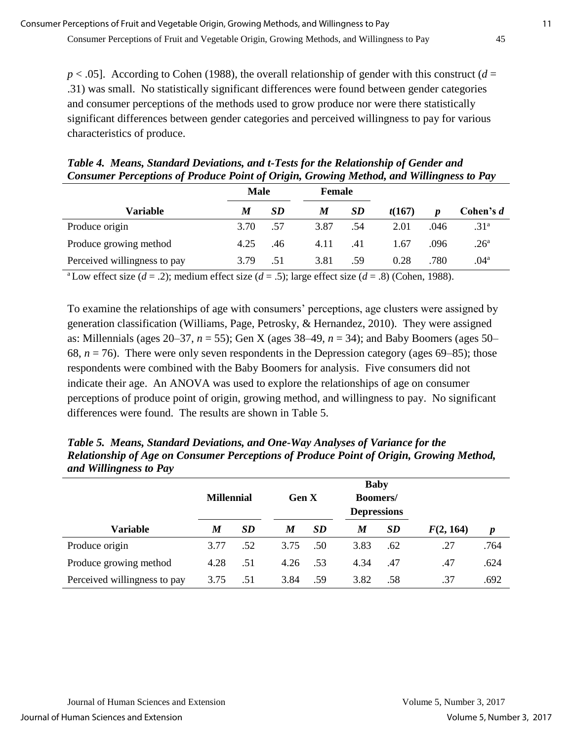*p* < .05]. According to Cohen (1988), the overall relationship of gender with this construct (*d* = .31) was small. No statistically significant differences were found between gender categories and consumer perceptions of the methods used to grow produce nor were there statistically significant differences between gender categories and perceived willingness to pay for various characteristics of produce.

| Table 4. Means, Standard Deviations, and t-Tests for the Relationship of Gender and     |        |  |
|-----------------------------------------------------------------------------------------|--------|--|
| Consumer Perceptions of Produce Point of Origin, Growing Method, and Willingness to Pay |        |  |
| Mola                                                                                    | Famola |  |

|                              | <b>Male</b> |           |      | Female |        |      |                  |
|------------------------------|-------------|-----------|------|--------|--------|------|------------------|
| Variable                     | M           | <b>SD</b> | M    | SD     | t(167) | D    | Cohen's $d$      |
| Produce origin               | 3.70        | .57       | 3.87 | .54    | 2.01   | .046 | .31 <sup>a</sup> |
| Produce growing method       | 4.25        | .46       | 4.11 | .41    | 1.67   | .096 | .26 <sup>a</sup> |
| Perceived willingness to pay | 3.79        | .51       | 3.81 | .59    | 0.28   | .780 | $.04^{\rm a}$    |

<sup>a</sup>Low effect size ( $d = .2$ ); medium effect size ( $d = .5$ ); large effect size ( $d = .8$ ) (Cohen, 1988).

To examine the relationships of age with consumers' perceptions, age clusters were assigned by generation classification (Williams, Page, Petrosky, & Hernandez, 2010). They were assigned as: Millennials (ages 20–37, *n* = 55); Gen X (ages 38–49, *n* = 34); and Baby Boomers (ages 50– 68,  $n = 76$ ). There were only seven respondents in the Depression category (ages 69–85); those respondents were combined with the Baby Boomers for analysis. Five consumers did not indicate their age. An ANOVA was used to explore the relationships of age on consumer perceptions of produce point of origin, growing method, and willingness to pay. No significant differences were found. The results are shown in Table 5.

*Table 5.**Means, Standard Deviations, and One-Way Analyses of Variance for the Relationship of Age on Consumer Perceptions of Produce Point of Origin, Growing Method, and Willingness to Pay*

|                              | <b>Millennial</b> |           | <b>Gen X</b> |     | <b>Baby</b><br>Boomers/<br><b>Depressions</b> |           |           |                  |
|------------------------------|-------------------|-----------|--------------|-----|-----------------------------------------------|-----------|-----------|------------------|
| <b>Variable</b>              | M                 | <b>SD</b> | M            | SD  | M                                             | <b>SD</b> | F(2, 164) | $\boldsymbol{p}$ |
| Produce origin               | 3.77              | .52       | 3.75         | .50 | 3.83                                          | .62       | .27       | .764             |
| Produce growing method       | 4.28              | .51       | 4.26         | .53 | 4.34                                          | .47       | .47       | .624             |
| Perceived willingness to pay | 3.75              | .51       | 3.84         | .59 | 3.82                                          | .58       | .37       | .692             |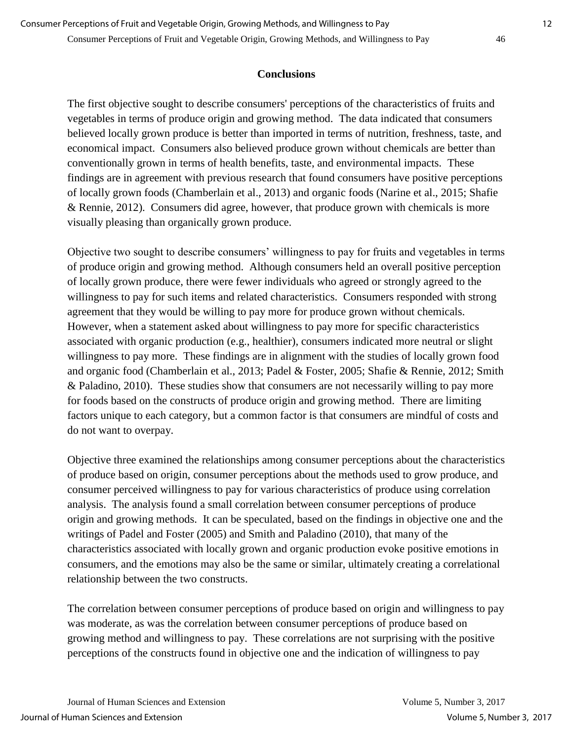#### **Conclusions**

The first objective sought to describe consumers' perceptions of the characteristics of fruits and vegetables in terms of produce origin and growing method. The data indicated that consumers believed locally grown produce is better than imported in terms of nutrition, freshness, taste, and economical impact. Consumers also believed produce grown without chemicals are better than conventionally grown in terms of health benefits, taste, and environmental impacts. These findings are in agreement with previous research that found consumers have positive perceptions of locally grown foods (Chamberlain et al., 2013) and organic foods (Narine et al., 2015; Shafie & Rennie, 2012). Consumers did agree, however, that produce grown with chemicals is more visually pleasing than organically grown produce.

Objective two sought to describe consumers' willingness to pay for fruits and vegetables in terms of produce origin and growing method. Although consumers held an overall positive perception of locally grown produce, there were fewer individuals who agreed or strongly agreed to the willingness to pay for such items and related characteristics. Consumers responded with strong agreement that they would be willing to pay more for produce grown without chemicals. However, when a statement asked about willingness to pay more for specific characteristics associated with organic production (e.g., healthier), consumers indicated more neutral or slight willingness to pay more. These findings are in alignment with the studies of locally grown food and organic food (Chamberlain et al., 2013; Padel & Foster, 2005; Shafie & Rennie, 2012; Smith & Paladino, 2010). These studies show that consumers are not necessarily willing to pay more for foods based on the constructs of produce origin and growing method. There are limiting factors unique to each category, but a common factor is that consumers are mindful of costs and do not want to overpay.

Objective three examined the relationships among consumer perceptions about the characteristics of produce based on origin, consumer perceptions about the methods used to grow produce, and consumer perceived willingness to pay for various characteristics of produce using correlation analysis. The analysis found a small correlation between consumer perceptions of produce origin and growing methods. It can be speculated, based on the findings in objective one and the writings of Padel and Foster (2005) and Smith and Paladino (2010), that many of the characteristics associated with locally grown and organic production evoke positive emotions in consumers, and the emotions may also be the same or similar, ultimately creating a correlational relationship between the two constructs.

The correlation between consumer perceptions of produce based on origin and willingness to pay was moderate, as was the correlation between consumer perceptions of produce based on growing method and willingness to pay. These correlations are not surprising with the positive perceptions of the constructs found in objective one and the indication of willingness to pay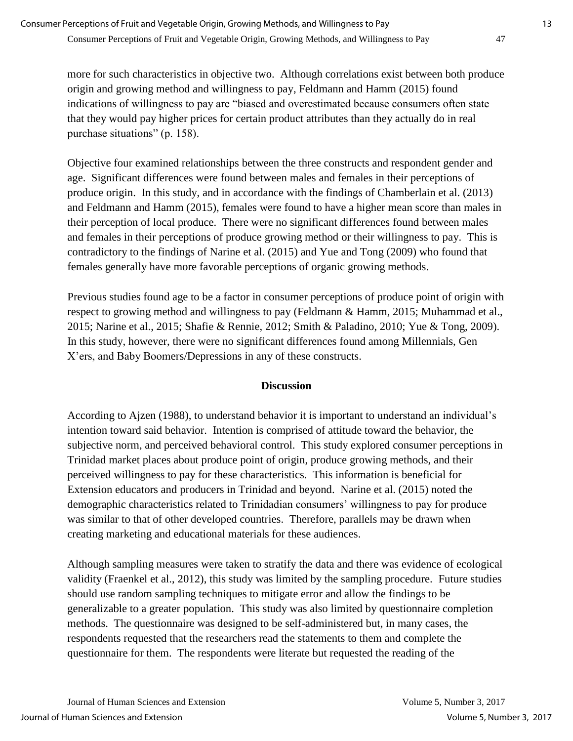more for such characteristics in objective two. Although correlations exist between both produce origin and growing method and willingness to pay, Feldmann and Hamm (2015) found indications of willingness to pay are "biased and overestimated because consumers often state that they would pay higher prices for certain product attributes than they actually do in real purchase situations" (p. 158).

Objective four examined relationships between the three constructs and respondent gender and age. Significant differences were found between males and females in their perceptions of produce origin. In this study, and in accordance with the findings of Chamberlain et al. (2013) and Feldmann and Hamm (2015), females were found to have a higher mean score than males in their perception of local produce. There were no significant differences found between males and females in their perceptions of produce growing method or their willingness to pay. This is contradictory to the findings of Narine et al. (2015) and Yue and Tong (2009) who found that females generally have more favorable perceptions of organic growing methods.

Previous studies found age to be a factor in consumer perceptions of produce point of origin with respect to growing method and willingness to pay (Feldmann & Hamm, 2015; Muhammad et al., 2015; Narine et al., 2015; Shafie & Rennie, 2012; Smith & Paladino, 2010; Yue & Tong, 2009). In this study, however, there were no significant differences found among Millennials, Gen X'ers, and Baby Boomers/Depressions in any of these constructs.

#### **Discussion**

According to Ajzen (1988), to understand behavior it is important to understand an individual's intention toward said behavior. Intention is comprised of attitude toward the behavior, the subjective norm, and perceived behavioral control. This study explored consumer perceptions in Trinidad market places about produce point of origin, produce growing methods, and their perceived willingness to pay for these characteristics. This information is beneficial for Extension educators and producers in Trinidad and beyond. Narine et al. (2015) noted the demographic characteristics related to Trinidadian consumers' willingness to pay for produce was similar to that of other developed countries. Therefore, parallels may be drawn when creating marketing and educational materials for these audiences.

Although sampling measures were taken to stratify the data and there was evidence of ecological validity (Fraenkel et al., 2012), this study was limited by the sampling procedure. Future studies should use random sampling techniques to mitigate error and allow the findings to be generalizable to a greater population. This study was also limited by questionnaire completion methods. The questionnaire was designed to be self-administered but, in many cases, the respondents requested that the researchers read the statements to them and complete the questionnaire for them. The respondents were literate but requested the reading of the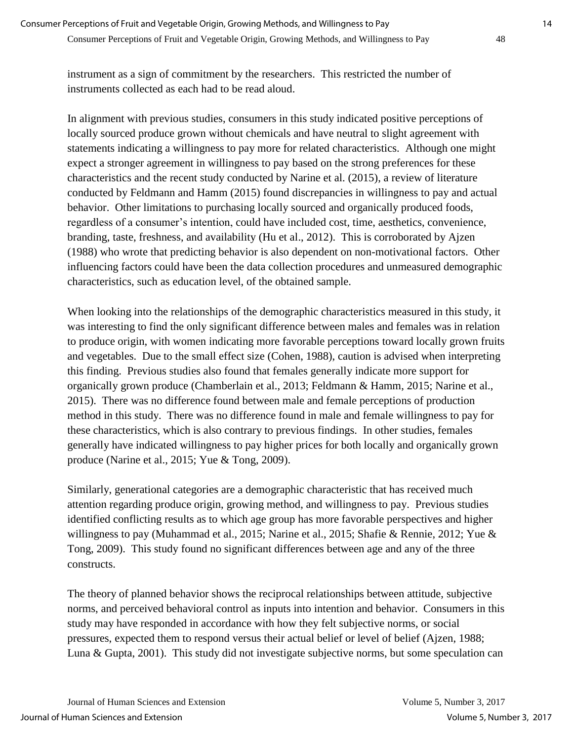instrument as a sign of commitment by the researchers. This restricted the number of instruments collected as each had to be read aloud.

In alignment with previous studies, consumers in this study indicated positive perceptions of locally sourced produce grown without chemicals and have neutral to slight agreement with statements indicating a willingness to pay more for related characteristics. Although one might expect a stronger agreement in willingness to pay based on the strong preferences for these characteristics and the recent study conducted by Narine et al. (2015), a review of literature conducted by Feldmann and Hamm (2015) found discrepancies in willingness to pay and actual behavior. Other limitations to purchasing locally sourced and organically produced foods, regardless of a consumer's intention, could have included cost, time, aesthetics, convenience, branding, taste, freshness, and availability (Hu et al., 2012). This is corroborated by Ajzen (1988) who wrote that predicting behavior is also dependent on non-motivational factors. Other influencing factors could have been the data collection procedures and unmeasured demographic characteristics, such as education level, of the obtained sample.

When looking into the relationships of the demographic characteristics measured in this study, it was interesting to find the only significant difference between males and females was in relation to produce origin, with women indicating more favorable perceptions toward locally grown fruits and vegetables. Due to the small effect size (Cohen, 1988), caution is advised when interpreting this finding. Previous studies also found that females generally indicate more support for organically grown produce (Chamberlain et al., 2013; Feldmann & Hamm, 2015; Narine et al., 2015). There was no difference found between male and female perceptions of production method in this study. There was no difference found in male and female willingness to pay for these characteristics, which is also contrary to previous findings. In other studies, females generally have indicated willingness to pay higher prices for both locally and organically grown produce (Narine et al., 2015; Yue & Tong, 2009).

Similarly, generational categories are a demographic characteristic that has received much attention regarding produce origin, growing method, and willingness to pay. Previous studies identified conflicting results as to which age group has more favorable perspectives and higher willingness to pay (Muhammad et al., 2015; Narine et al., 2015; Shafie & Rennie, 2012; Yue & Tong, 2009). This study found no significant differences between age and any of the three constructs.

The theory of planned behavior shows the reciprocal relationships between attitude, subjective norms, and perceived behavioral control as inputs into intention and behavior. Consumers in this study may have responded in accordance with how they felt subjective norms, or social pressures, expected them to respond versus their actual belief or level of belief (Ajzen, 1988; Luna & Gupta, 2001). This study did not investigate subjective norms, but some speculation can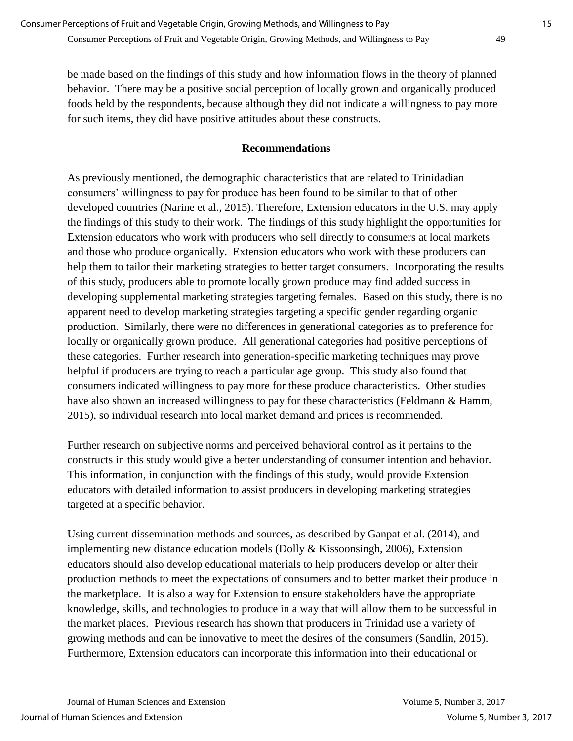be made based on the findings of this study and how information flows in the theory of planned behavior. There may be a positive social perception of locally grown and organically produced foods held by the respondents, because although they did not indicate a willingness to pay more for such items, they did have positive attitudes about these constructs.

#### **Recommendations**

As previously mentioned, the demographic characteristics that are related to Trinidadian consumers' willingness to pay for produce has been found to be similar to that of other developed countries (Narine et al., 2015). Therefore, Extension educators in the U.S. may apply the findings of this study to their work. The findings of this study highlight the opportunities for Extension educators who work with producers who sell directly to consumers at local markets and those who produce organically. Extension educators who work with these producers can help them to tailor their marketing strategies to better target consumers. Incorporating the results of this study, producers able to promote locally grown produce may find added success in developing supplemental marketing strategies targeting females. Based on this study, there is no apparent need to develop marketing strategies targeting a specific gender regarding organic production. Similarly, there were no differences in generational categories as to preference for locally or organically grown produce. All generational categories had positive perceptions of these categories. Further research into generation-specific marketing techniques may prove helpful if producers are trying to reach a particular age group. This study also found that consumers indicated willingness to pay more for these produce characteristics. Other studies have also shown an increased willingness to pay for these characteristics (Feldmann & Hamm, 2015), so individual research into local market demand and prices is recommended.

Further research on subjective norms and perceived behavioral control as it pertains to the constructs in this study would give a better understanding of consumer intention and behavior. This information, in conjunction with the findings of this study, would provide Extension educators with detailed information to assist producers in developing marketing strategies targeted at a specific behavior.

Using current dissemination methods and sources, as described by Ganpat et al. (2014), and implementing new distance education models (Dolly & Kissoonsingh, 2006), Extension educators should also develop educational materials to help producers develop or alter their production methods to meet the expectations of consumers and to better market their produce in the marketplace. It is also a way for Extension to ensure stakeholders have the appropriate knowledge, skills, and technologies to produce in a way that will allow them to be successful in the market places. Previous research has shown that producers in Trinidad use a variety of growing methods and can be innovative to meet the desires of the consumers (Sandlin, 2015). Furthermore, Extension educators can incorporate this information into their educational or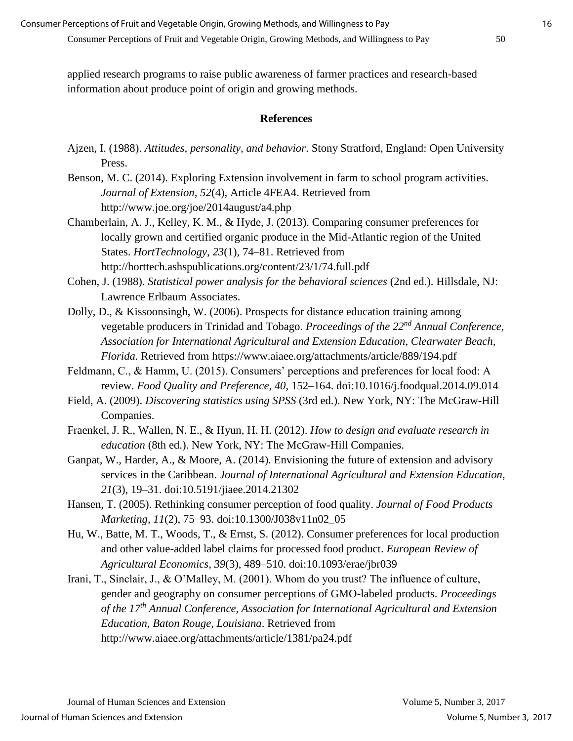applied research programs to raise public awareness of farmer practices and research-based information about produce point of origin and growing methods.

#### **References**

- Ajzen, I. (1988). *Attitudes, personality, and behavior*. Stony Stratford, England: Open University Press.
- Benson, M. C. (2014). Exploring Extension involvement in farm to school program activities. *Journal of Extension, 52*(4), Article 4FEA4. Retrieved from http://www.joe.org/joe/2014august/a4.php
- Chamberlain, A. J., Kelley, K. M., & Hyde, J. (2013). Comparing consumer preferences for locally grown and certified organic produce in the Mid-Atlantic region of the United States. *HortTechnology*, *23*(1), 74–81. Retrieved from http://horttech.ashspublications.org/content/23/1/74.full.pdf
- Cohen, J. (1988). *Statistical power analysis for the behavioral sciences* (2nd ed.). Hillsdale, NJ: Lawrence Erlbaum Associates.
- Dolly, D., & Kissoonsingh, W. (2006). Prospects for distance education training among vegetable producers in Trinidad and Tobago. *Proceedings of the 22nd Annual Conference, Association for International Agricultural and Extension Education, Clearwater Beach, Florida.* Retrieved from https://www.aiaee.org/attachments/article/889/194.pdf
- Feldmann, C., & Hamm, U. (2015). Consumers' perceptions and preferences for local food: A review. *Food Quality and Preference, 40*, 152–164. doi:10.1016/j.foodqual.2014.09.014
- Field, A. (2009). *Discovering statistics using SPSS* (3rd ed.). New York, NY: The McGraw-Hill Companies.
- Fraenkel, J. R., Wallen, N. E., & Hyun, H. H. (2012). *How to design and evaluate research in education* (8th ed.). New York, NY: The McGraw-Hill Companies.
- Ganpat, W., Harder, A., & Moore, A. (2014). Envisioning the future of extension and advisory services in the Caribbean. *Journal of International Agricultural and Extension Education, 21*(3), 19–31. doi:10.5191/jiaee.2014.21302
- Hansen, T. (2005). Rethinking consumer perception of food quality. *Journal of Food Products Marketing, 11*(2), 75–93. doi:10.1300/J038v11n02\_05
- Hu, W., Batte, M. T., Woods, T., & Ernst, S. (2012). Consumer preferences for local production and other value-added label claims for processed food product. *European Review of Agricultural Economics, 39*(3), 489–510. doi:10.1093/erae/jbr039
- Irani, T., Sinclair, J., & O'Malley, M. (2001). Whom do you trust? The influence of culture, gender and geography on consumer perceptions of GMO-labeled products. *Proceedings of the 17th Annual Conference, Association for International Agricultural and Extension Education, Baton Rouge, Louisiana*. Retrieved from http://www.aiaee.org/attachments/article/1381/pa24.pdf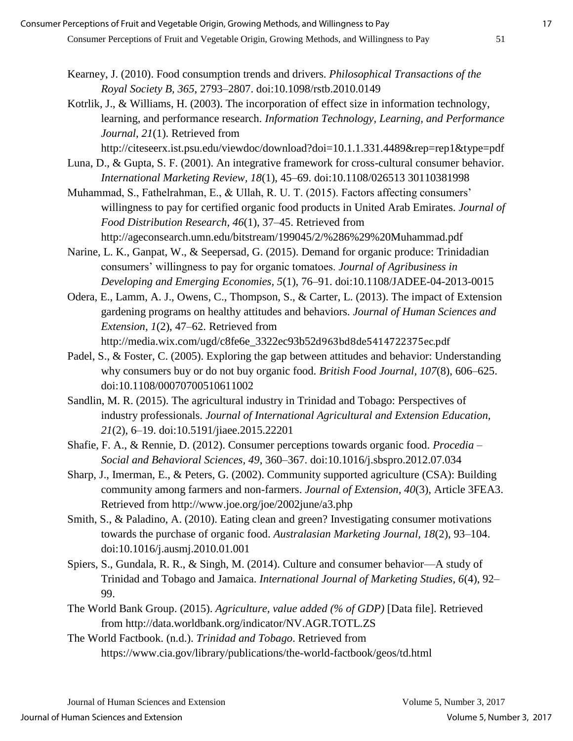- Kearney, J. (2010). Food consumption trends and drivers. *Philosophical Transactions of the Royal Society B, 365*, 2793–2807. doi:10.1098/rstb.2010.0149
- Kotrlik, J., & Williams, H. (2003). The incorporation of effect size in information technology, learning, and performance research. *Information Technology, Learning, and Performance Journal, 21*(1). Retrieved from

http://citeseerx.ist.psu.edu/viewdoc/download?doi=10.1.1.331.4489&rep=rep1&type=pdf

- Luna, D., & Gupta, S. F. (2001). An integrative framework for cross-cultural consumer behavior. *International Marketing Review, 18*(1), 45–69. doi:10.1108/026513 30110381998
- Muhammad, S., Fathelrahman, E., & Ullah, R. U. T. (2015). Factors affecting consumers' willingness to pay for certified organic food products in United Arab Emirates. *Journal of Food Distribution Research, 46*(1), 37–45. Retrieved from http://ageconsearch.umn.edu/bitstream/199045/2/%286%29%20Muhammad.pdf
- Narine, L. K., Ganpat, W., & Seepersad, G. (2015). Demand for organic produce: Trinidadian consumers' willingness to pay for organic tomatoes. *Journal of Agribusiness in Developing and Emerging Economies, 5*(1), 76–91. doi:10.1108/JADEE-04-2013-0015
- Odera, E., Lamm, A. J., Owens, C., Thompson, S., & Carter, L. (2013). The impact of Extension gardening programs on healthy attitudes and behaviors. *Journal of Human Sciences and Extension, 1*(2), 47–62. Retrieved from http://media.wix.com/ugd/c8fe6e\_3322ec93b52d963bd8de5414722375ec.pdf
- Padel, S., & Foster, C. (2005). Exploring the gap between attitudes and behavior: Understanding why consumers buy or do not buy organic food. *British Food Journal, 107*(8), 606–625. doi:10.1108/00070700510611002
- Sandlin, M. R. (2015). The agricultural industry in Trinidad and Tobago: Perspectives of industry professionals. *Journal of International Agricultural and Extension Education, 21*(2), 6–19. doi:10.5191/jiaee.2015.22201
- Shafie, F. A., & Rennie, D. (2012). Consumer perceptions towards organic food. *Procedia – Social and Behavioral Sciences, 49*, 360–367. doi:10.1016/j.sbspro.2012.07.034
- Sharp, J., Imerman, E., & Peters, G. (2002). Community supported agriculture (CSA): Building community among farmers and non-farmers. *Journal of Extension, 40*(3), Article 3FEA3. Retrieved from http://www.joe.org/joe/2002june/a3.php
- Smith, S., & Paladino, A. (2010). Eating clean and green? Investigating consumer motivations towards the purchase of organic food. *Australasian Marketing Journal, 18*(2), 93–104. doi:10.1016/j.ausmj.2010.01.001
- Spiers, S., Gundala, R. R., & Singh, M. (2014). Culture and consumer behavior—A study of Trinidad and Tobago and Jamaica. *International Journal of Marketing Studies, 6*(4), 92– 99.
- The World Bank Group. (2015). *Agriculture, value added (% of GDP)* [Data file]. Retrieved from http://data.worldbank.org/indicator/NV.AGR.TOTL.ZS
- The World Factbook. (n.d.). *Trinidad and Tobago*. Retrieved from https://www.cia.gov/library/publications/the-world-factbook/geos/td.html